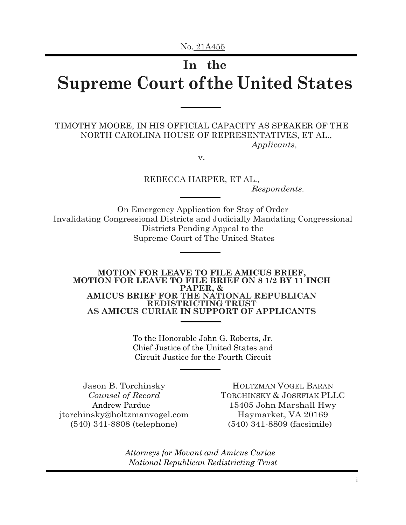# **In the Supreme Court of the United States**

TIMOTHY MOORE, IN HIS OFFICIAL CAPACITY AS SPEAKER OF THE NORTH CAROLINA HOUSE OF REPRESENTATIVES, ET AL., *Applicants,*

v.

REBECCA HARPER, ET AL., *Respondents.*

On Emergency Application for Stay of Order Invalidating Congressional Districts and Judicially Mandating Congressional Districts Pending Appeal to the Supreme Court of The United States

**MOTION FOR LEAVE TO FILE AMICUS BRIEF, MOTION FOR LEAVE TO FILE BRIEF ON 8 1/2 BY 11 INCH PAPER, & AMICUS BRIEF FOR THE NATIONAL REPUBLICAN REDISTRICTING TRUST AS AMICUS CURIAE IN SUPPORT OF APPLICANTS**

> To the Honorable John G. Roberts, Jr. Chief Justice of the United States and Circuit Justice for the Fourth Circuit

Jason B. Torchinsky *Counsel of Record*  Andrew Pardue jtorchinsky@holtzmanvogel.com (540) 341-8808 (telephone)

HOLTZMAN VOGEL BARAN TORCHINSKY & JOSEFIAK PLLC 15405 John Marshall Hwy Haymarket, VA 20169 (540) 341-8809 (facsimile)

*Attorneys for Movant and Amicus Curiae National Republican Redistricting Trust*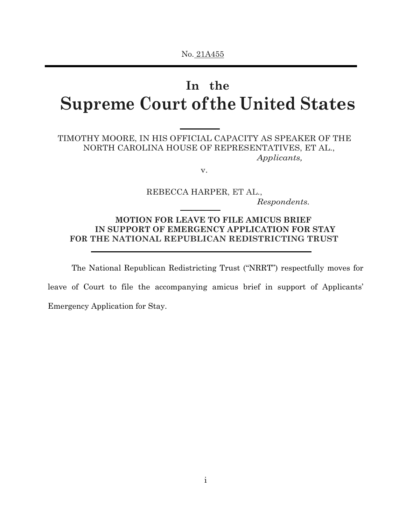# **In the Supreme Court of the United States**

## TIMOTHY MOORE, IN HIS OFFICIAL CAPACITY AS SPEAKER OF THE NORTH CAROLINA HOUSE OF REPRESENTATIVES, ET AL., *Applicants,*

v.

REBECCA HARPER, ET AL., *Respondents.*

## **MOTION FOR LEAVE TO FILE AMICUS BRIEF IN SUPPORT OF EMERGENCY APPLICATION FOR STAY FOR THE NATIONAL REPUBLICAN REDISTRICTING TRUST**

The National Republican Redistricting Trust ("NRRT") respectfully moves for

leave of Court to file the accompanying amicus brief in support of Applicants' Emergency Application for Stay.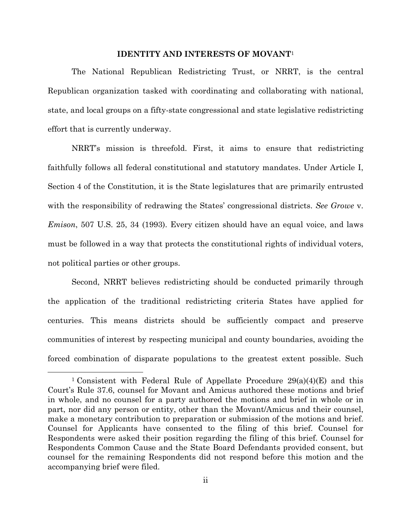#### **IDENTITY AND INTERESTS OF MOVANT**<sup>1</sup>

The National Republican Redistricting Trust, or NRRT, is the central Republican organization tasked with coordinating and collaborating with national, state, and local groups on a fifty-state congressional and state legislative redistricting effort that is currently underway.

NRRT's mission is threefold. First, it aims to ensure that redistricting faithfully follows all federal constitutional and statutory mandates. Under Article I, Section 4 of the Constitution, it is the State legislatures that are primarily entrusted with the responsibility of redrawing the States' congressional districts. *See Growe* v. *Emison*, 507 U.S. 25, 34 (1993). Every citizen should have an equal voice, and laws must be followed in a way that protects the constitutional rights of individual voters, not political parties or other groups.

Second, NRRT believes redistricting should be conducted primarily through the application of the traditional redistricting criteria States have applied for centuries. This means districts should be sufficiently compact and preserve communities of interest by respecting municipal and county boundaries, avoiding the forced combination of disparate populations to the greatest extent possible. Such

l

<sup>&</sup>lt;sup>1</sup> Consistent with Federal Rule of Appellate Procedure  $29(a)(4)(E)$  and this Court's Rule 37.6, counsel for Movant and Amicus authored these motions and brief in whole, and no counsel for a party authored the motions and brief in whole or in part, nor did any person or entity, other than the Movant/Amicus and their counsel, make a monetary contribution to preparation or submission of the motions and brief. Counsel for Applicants have consented to the filing of this brief. Counsel for Respondents were asked their position regarding the filing of this brief. Counsel for Respondents Common Cause and the State Board Defendants provided consent, but counsel for the remaining Respondents did not respond before this motion and the accompanying brief were filed.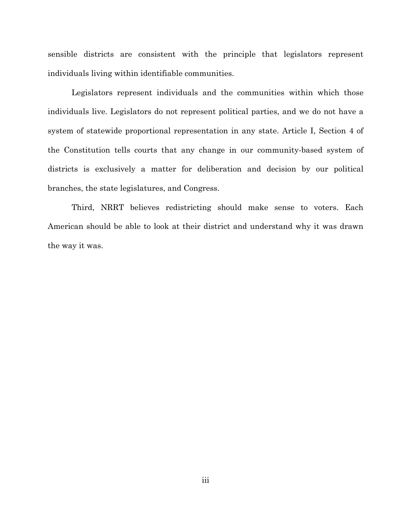sensible districts are consistent with the principle that legislators represent individuals living within identifiable communities.

Legislators represent individuals and the communities within which those individuals live. Legislators do not represent political parties, and we do not have a system of statewide proportional representation in any state. Article I, Section 4 of the Constitution tells courts that any change in our community-based system of districts is exclusively a matter for deliberation and decision by our political branches, the state legislatures, and Congress.

Third, NRRT believes redistricting should make sense to voters. Each American should be able to look at their district and understand why it was drawn the way it was.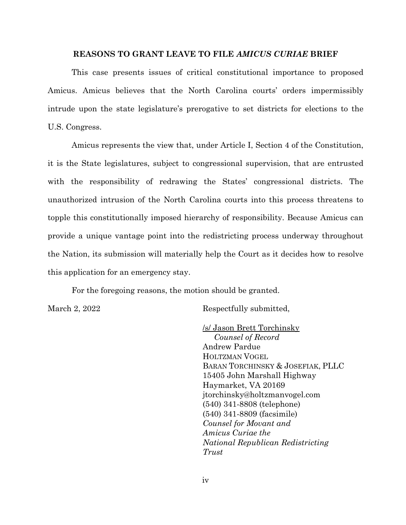### **REASONS TO GRANT LEAVE TO FILE** *AMICUS CURIAE* **BRIEF**

This case presents issues of critical constitutional importance to proposed Amicus. Amicus believes that the North Carolina courts' orders impermissibly intrude upon the state legislature's prerogative to set districts for elections to the U.S. Congress.

Amicus represents the view that, under Article I, Section 4 of the Constitution, it is the State legislatures, subject to congressional supervision, that are entrusted with the responsibility of redrawing the States' congressional districts. The unauthorized intrusion of the North Carolina courts into this process threatens to topple this constitutionally imposed hierarchy of responsibility. Because Amicus can provide a unique vantage point into the redistricting process underway throughout the Nation, its submission will materially help the Court as it decides how to resolve this application for an emergency stay.

For the foregoing reasons, the motion should be granted.

March 2, 2022 Respectfully submitted,

/s/ Jason Brett Torchinsky *Counsel of Record*  Andrew Pardue HOLTZMAN VOGEL BARAN TORCHINSKY & JOSEFIAK, PLLC 15405 John Marshall Highway Haymarket, VA 20169 jtorchinsky@holtzmanvogel.com (540) 341-8808 (telephone) (540) 341-8809 (facsimile) *Counsel for Movant and Amicus Curiae the National Republican Redistricting Trust*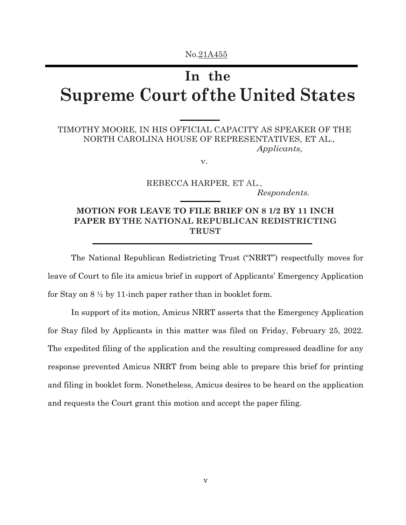# **In the Supreme Court of the United States**

# TIMOTHY MOORE, IN HIS OFFICIAL CAPACITY AS SPEAKER OF THE NORTH CAROLINA HOUSE OF REPRESENTATIVES, ET AL., *Applicants,*

v.

REBECCA HARPER, ET AL., *Respondents.*

## **MOTION FOR LEAVE TO FILE BRIEF ON 8 1/2 BY 11 INCH PAPER BY THE NATIONAL REPUBLICAN REDISTRICTING TRUST**

The National Republican Redistricting Trust ("NRRT") respectfully moves for leave of Court to file its amicus brief in support of Applicants' Emergency Application for Stay on  $8\frac{1}{2}$  by 11-inch paper rather than in booklet form.

In support of its motion, Amicus NRRT asserts that the Emergency Application for Stay filed by Applicants in this matter was filed on Friday, February 25, 2022. The expedited filing of the application and the resulting compressed deadline for any response prevented Amicus NRRT from being able to prepare this brief for printing and filing in booklet form. Nonetheless, Amicus desires to be heard on the application and requests the Court grant this motion and accept the paper filing.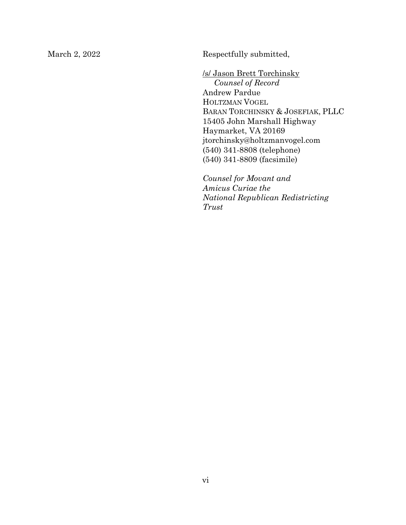March 2, 2022 Respectfully submitted,

/s/ Jason Brett Torchinsky *Counsel of Record*  Andrew Pardue HOLTZMAN VOGEL BARAN TORCHINSKY & JOSEFIAK, PLLC 15405 John Marshall Highway Haymarket, VA 20169 jtorchinsky@holtzmanvogel.com (540) 341-8808 (telephone) (540) 341-8809 (facsimile)

*Counsel for Movant and Amicus Curiae the National Republican Redistricting Trust*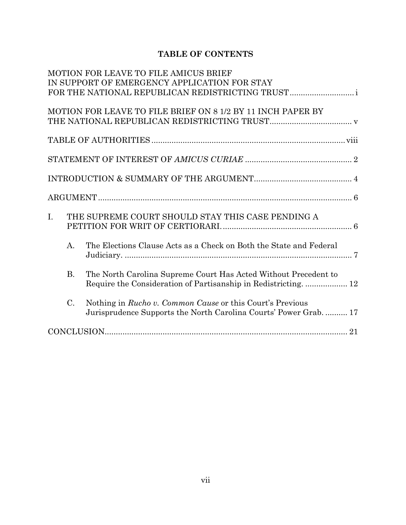# **TABLE OF CONTENTS**

|    |           | MOTION FOR LEAVE TO FILE AMICUS BRIEF                              |
|----|-----------|--------------------------------------------------------------------|
|    |           | IN SUPPORT OF EMERGENCY APPLICATION FOR STAY                       |
|    |           | FOR THE NATIONAL REPUBLICAN REDISTRICTING TRUST                    |
|    |           |                                                                    |
|    |           | MOTION FOR LEAVE TO FILE BRIEF ON 8 1/2 BY 11 INCH PAPER BY        |
|    |           |                                                                    |
|    |           |                                                                    |
|    |           |                                                                    |
|    |           |                                                                    |
|    |           |                                                                    |
|    |           |                                                                    |
|    |           |                                                                    |
|    |           |                                                                    |
|    |           |                                                                    |
|    |           |                                                                    |
| I. |           | THE SUPREME COURT SHOULD STAY THIS CASE PENDING A                  |
|    |           |                                                                    |
|    |           |                                                                    |
|    | A.        | The Elections Clause Acts as a Check on Both the State and Federal |
|    |           |                                                                    |
|    |           |                                                                    |
|    | <b>B.</b> | The North Carolina Supreme Court Has Acted Without Precedent to    |
|    |           |                                                                    |
|    |           |                                                                    |
|    | $C$ .     | Nothing in <i>Rucho v. Common Cause</i> or this Court's Previous   |
|    |           | Jurisprudence Supports the North Carolina Courts' Power Grab.  17  |
|    |           |                                                                    |
|    |           |                                                                    |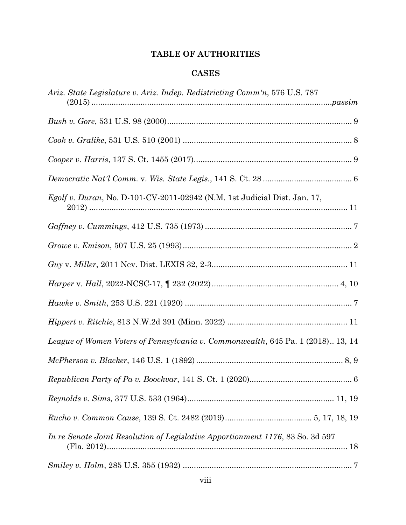# **TABLE OF AUTHORITIES**

## **CASES**

| Ariz. State Legislature v. Ariz. Indep. Redistricting Comm'n, 576 U.S. 787      |
|---------------------------------------------------------------------------------|
|                                                                                 |
|                                                                                 |
|                                                                                 |
|                                                                                 |
| Egolf v. Duran, No. D-101-CV-2011-02942 (N.M. 1st Judicial Dist. Jan. 17,       |
|                                                                                 |
|                                                                                 |
|                                                                                 |
|                                                                                 |
|                                                                                 |
|                                                                                 |
| League of Women Voters of Pennsylvania v. Commonwealth, 645 Pa. 1 (2018) 13, 14 |
|                                                                                 |
|                                                                                 |
|                                                                                 |
|                                                                                 |
| In re Senate Joint Resolution of Legislative Apportionment 1176, 83 So. 3d 597  |
|                                                                                 |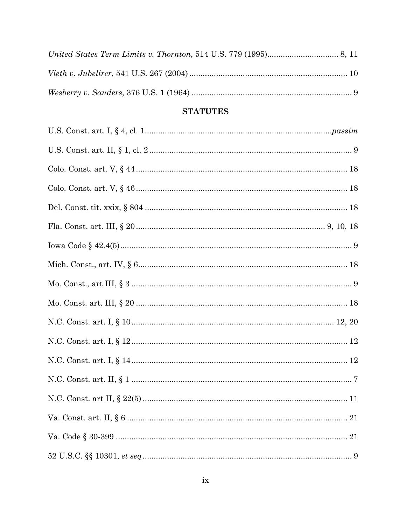# **STATUTES**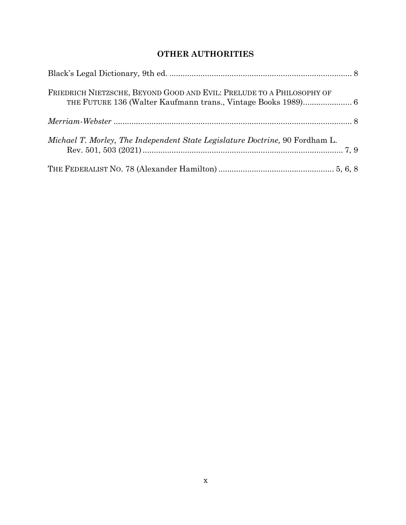# **OTHER AUTHORITIES**

| FRIEDRICH NIETZSCHE, BEYOND GOOD AND EVIL: PRELUDE TO A PHILOSOPHY OF        |  |
|------------------------------------------------------------------------------|--|
|                                                                              |  |
| Michael T. Morley, The Independent State Legislature Doctrine, 90 Fordham L. |  |
|                                                                              |  |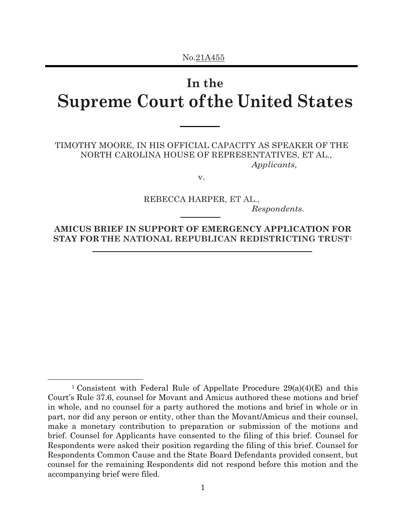# **In the Supreme Court of the United States**

TIMOTHY MOORE, IN HIS OFFICIAL CAPACITY AS SPEAKER OF THE NORTH CAROLINA HOUSE OF REPRESENTATIVES, ET AL., *Applicants,*

v.

REBECCA HARPER, ET AL.,

*Respondents.*

**AMICUS BRIEF IN SUPPORT OF EMERGENCY APPLICATION FOR STAY FOR THE NATIONAL REPUBLICAN REDISTRICTING TRUST**<sup>1</sup>

l

<sup>&</sup>lt;sup>1</sup> Consistent with Federal Rule of Appellate Procedure  $29(a)(4)(E)$  and this Court's Rule 37.6, counsel for Movant and Amicus authored these motions and brief in whole, and no counsel for a party authored the motions and brief in whole or in part, nor did any person or entity, other than the Movant/Amicus and their counsel, make a monetary contribution to preparation or submission of the motions and brief. Counsel for Applicants have consented to the filing of this brief. Counsel for Respondents were asked their position regarding the filing of this brief. Counsel for Respondents Common Cause and the State Board Defendants provided consent, but counsel for the remaining Respondents did not respond before this motion and the accompanying brief were filed.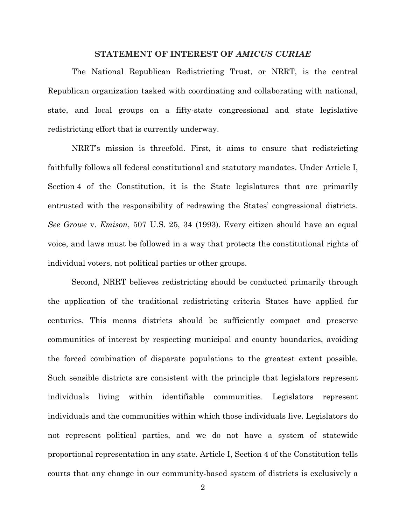### **STATEMENT OF INTEREST OF** *AMICUS CURIAE*

The National Republican Redistricting Trust, or NRRT, is the central Republican organization tasked with coordinating and collaborating with national, state, and local groups on a fifty-state congressional and state legislative redistricting effort that is currently underway.

NRRT's mission is threefold. First, it aims to ensure that redistricting faithfully follows all federal constitutional and statutory mandates. Under Article I, Section 4 of the Constitution, it is the State legislatures that are primarily entrusted with the responsibility of redrawing the States' congressional districts. *See Growe* v. *Emison*, 507 U.S. 25, 34 (1993). Every citizen should have an equal voice, and laws must be followed in a way that protects the constitutional rights of individual voters, not political parties or other groups.

Second, NRRT believes redistricting should be conducted primarily through the application of the traditional redistricting criteria States have applied for centuries. This means districts should be sufficiently compact and preserve communities of interest by respecting municipal and county boundaries, avoiding the forced combination of disparate populations to the greatest extent possible. Such sensible districts are consistent with the principle that legislators represent individuals living within identifiable communities. Legislators represent individuals and the communities within which those individuals live. Legislators do not represent political parties, and we do not have a system of statewide proportional representation in any state. Article I, Section 4 of the Constitution tells courts that any change in our community-based system of districts is exclusively a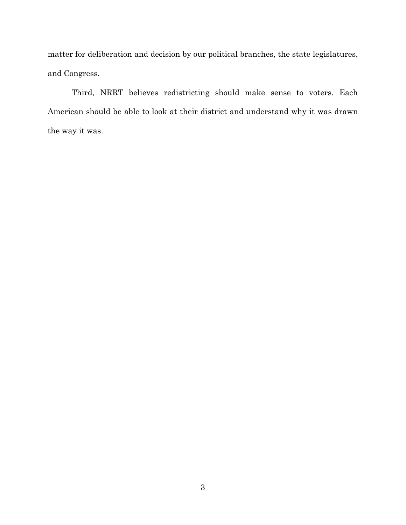matter for deliberation and decision by our political branches, the state legislatures, and Congress.

Third, NRRT believes redistricting should make sense to voters. Each American should be able to look at their district and understand why it was drawn the way it was.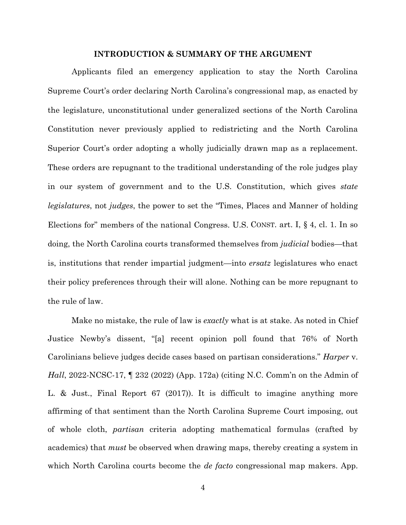### **INTRODUCTION & SUMMARY OF THE ARGUMENT**

Applicants filed an emergency application to stay the North Carolina Supreme Court's order declaring North Carolina's congressional map, as enacted by the legislature, unconstitutional under generalized sections of the North Carolina Constitution never previously applied to redistricting and the North Carolina Superior Court's order adopting a wholly judicially drawn map as a replacement. These orders are repugnant to the traditional understanding of the role judges play in our system of government and to the U.S. Constitution, which gives *state legislatures*, not *judges*, the power to set the "Times, Places and Manner of holding Elections for" members of the national Congress. U.S. CONST. art. I, § 4, cl. 1. In so doing, the North Carolina courts transformed themselves from *judicial* bodies—that is, institutions that render impartial judgment—into *ersatz* legislatures who enact their policy preferences through their will alone. Nothing can be more repugnant to the rule of law.

Make no mistake, the rule of law is *exactly* what is at stake. As noted in Chief Justice Newby's dissent, "[a] recent opinion poll found that 76% of North Carolinians believe judges decide cases based on partisan considerations." *Harper* v. *Hall*, 2022-NCSC-17, ¶ 232 (2022) (App. 172a) (citing N.C. Comm'n on the Admin of L. & Just., Final Report 67 (2017)). It is difficult to imagine anything more affirming of that sentiment than the North Carolina Supreme Court imposing, out of whole cloth, *partisan* criteria adopting mathematical formulas (crafted by academics) that *must* be observed when drawing maps, thereby creating a system in which North Carolina courts become the *de facto* congressional map makers. App.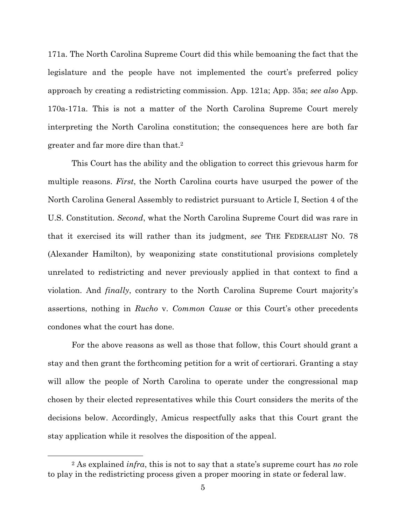171a. The North Carolina Supreme Court did this while bemoaning the fact that the legislature and the people have not implemented the court's preferred policy approach by creating a redistricting commission. App. 121a; App. 35a; *see also* App. 170a-171a. This is not a matter of the North Carolina Supreme Court merely interpreting the North Carolina constitution; the consequences here are both far greater and far more dire than that.2

This Court has the ability and the obligation to correct this grievous harm for multiple reasons. *First*, the North Carolina courts have usurped the power of the North Carolina General Assembly to redistrict pursuant to Article I, Section 4 of the U.S. Constitution. *Second*, what the North Carolina Supreme Court did was rare in that it exercised its will rather than its judgment, *see* THE FEDERALIST NO. 78 (Alexander Hamilton), by weaponizing state constitutional provisions completely unrelated to redistricting and never previously applied in that context to find a violation. And *finally*, contrary to the North Carolina Supreme Court majority's assertions, nothing in *Rucho* v. *Common Cause* or this Court's other precedents condones what the court has done.

For the above reasons as well as those that follow, this Court should grant a stay and then grant the forthcoming petition for a writ of certiorari. Granting a stay will allow the people of North Carolina to operate under the congressional map chosen by their elected representatives while this Court considers the merits of the decisions below. Accordingly, Amicus respectfully asks that this Court grant the stay application while it resolves the disposition of the appeal.

l

<sup>2</sup> As explained *infra*, this is not to say that a state's supreme court has *no* role to play in the redistricting process given a proper mooring in state or federal law.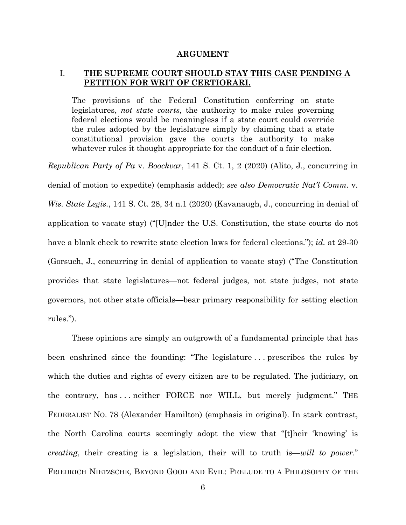#### **ARGUMENT**

### I. **THE SUPREME COURT SHOULD STAY THIS CASE PENDING A PETITION FOR WRIT OF CERTIORARI.**

The provisions of the Federal Constitution conferring on state legislatures, *not state courts*, the authority to make rules governing federal elections would be meaningless if a state court could override the rules adopted by the legislature simply by claiming that a state constitutional provision gave the courts the authority to make whatever rules it thought appropriate for the conduct of a fair election.

*Republican Party of Pa* v. *Boockvar*, 141 S. Ct. 1, 2 (2020) (Alito, J., concurring in denial of motion to expedite) (emphasis added); *see also Democratic Nat'l Comm.* v. *Wis. State Legis.*, 141 S. Ct. 28, 34 n.1 (2020) (Kavanaugh, J., concurring in denial of application to vacate stay) ("[U]nder the U.S. Constitution, the state courts do not have a blank check to rewrite state election laws for federal elections."); *id.* at 29-30 (Gorsuch, J., concurring in denial of application to vacate stay) ("The Constitution provides that state legislatures—not federal judges, not state judges, not state governors, not other state officials—bear primary responsibility for setting election rules.").

These opinions are simply an outgrowth of a fundamental principle that has been enshrined since the founding: "The legislature . . . prescribes the rules by which the duties and rights of every citizen are to be regulated. The judiciary, on the contrary, has . . . neither FORCE nor WILL, but merely judgment." THE FEDERALIST NO. 78 (Alexander Hamilton) (emphasis in original). In stark contrast, the North Carolina courts seemingly adopt the view that "[t]heir 'knowing' is *creating*, their creating is a legislation, their will to truth is—*will to power*." FRIEDRICH NIETZSCHE, BEYOND GOOD AND EVIL: PRELUDE TO A PHILOSOPHY OF THE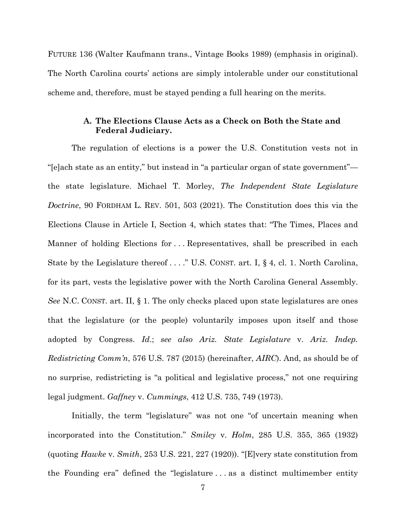FUTURE 136 (Walter Kaufmann trans., Vintage Books 1989) (emphasis in original). The North Carolina courts' actions are simply intolerable under our constitutional scheme and, therefore, must be stayed pending a full hearing on the merits.

### **A. The Elections Clause Acts as a Check on Both the State and Federal Judiciary.**

The regulation of elections is a power the U.S. Constitution vests not in "[e]ach state as an entity," but instead in "a particular organ of state government" the state legislature. Michael T. Morley, *The Independent State Legislature Doctrine*, 90 FORDHAM L. REV. 501, 503 (2021). The Constitution does this via the Elections Clause in Article I, Section 4, which states that: "The Times, Places and Manner of holding Elections for . . . Representatives, shall be prescribed in each State by the Legislature thereof . . . ." U.S. CONST. art. I, § 4, cl. 1. North Carolina, for its part, vests the legislative power with the North Carolina General Assembly. *See* N.C. CONST. art. II, § 1. The only checks placed upon state legislatures are ones that the legislature (or the people) voluntarily imposes upon itself and those adopted by Congress. *Id*.; *see also Ariz. State Legislature* v. *Ariz. Indep. Redistricting Comm'n*, 576 U.S. 787 (2015) (hereinafter, *AIRC*). And, as should be of no surprise, redistricting is "a political and legislative process," not one requiring legal judgment. *Gaffney* v. *Cummings*, 412 U.S. 735, 749 (1973).

Initially, the term "legislature" was not one "of uncertain meaning when incorporated into the Constitution." *Smiley* v. *Holm*, 285 U.S. 355, 365 (1932) (quoting *Hawke* v. *Smith*, 253 U.S. 221, 227 (1920)). "[E]very state constitution from the Founding era" defined the "legislature . . . as a distinct multimember entity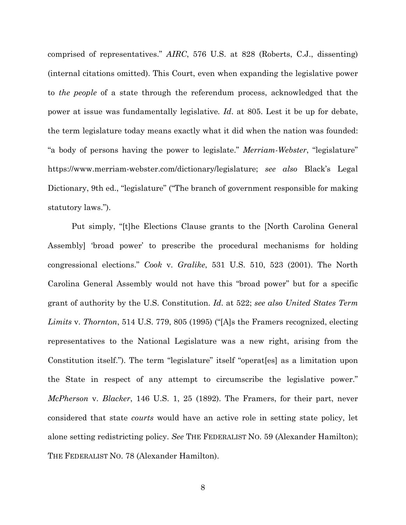comprised of representatives." *AIRC*, 576 U.S. at 828 (Roberts, C.J., dissenting) (internal citations omitted). This Court, even when expanding the legislative power to *the people* of a state through the referendum process, acknowledged that the power at issue was fundamentally legislative*. Id*. at 805. Lest it be up for debate, the term legislature today means exactly what it did when the nation was founded: "a body of persons having the power to legislate." *Merriam-Webster*, "legislature" https://www.merriam-webster.com/dictionary/legislature; *see also* Black's Legal Dictionary, 9th ed., "legislature" ("The branch of government responsible for making statutory laws.").

Put simply, "[t]he Elections Clause grants to the [North Carolina General Assembly] 'broad power' to prescribe the procedural mechanisms for holding congressional elections." *Cook* v. *Gralike*, 531 U.S. 510, 523 (2001). The North Carolina General Assembly would not have this "broad power" but for a specific grant of authority by the U.S. Constitution. *Id*. at 522; *see also United States Term Limits* v. *Thornton*, 514 U.S. 779, 805 (1995) ("[A]s the Framers recognized, electing representatives to the National Legislature was a new right, arising from the Constitution itself."). The term "legislature" itself "operat[es] as a limitation upon the State in respect of any attempt to circumscribe the legislative power." *McPherson* v. *Blacker*, 146 U.S. 1, 25 (1892). The Framers, for their part, never considered that state *courts* would have an active role in setting state policy, let alone setting redistricting policy. *See* THE FEDERALIST NO. 59 (Alexander Hamilton); THE FEDERALIST NO. 78 (Alexander Hamilton).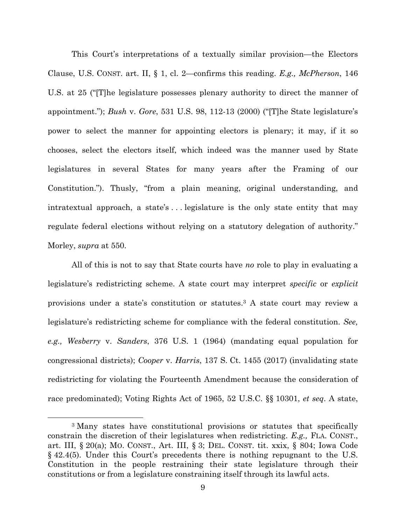This Court's interpretations of a textually similar provision—the Electors Clause, U.S. CONST. art. II, § 1, cl. 2—confirms this reading. *E.g., McPherson*, 146 U.S. at 25 ("[T]he legislature possesses plenary authority to direct the manner of appointment."); *Bush* v. *Gore*, 531 U.S. 98, 112-13 (2000) ("[T]he State legislature's power to select the manner for appointing electors is plenary; it may, if it so chooses, select the electors itself, which indeed was the manner used by State legislatures in several States for many years after the Framing of our Constitution."). Thusly, "from a plain meaning, original understanding, and intratextual approach, a state's . . . legislature is the only state entity that may regulate federal elections without relying on a statutory delegation of authority." Morley, *supra* at 550.

All of this is not to say that State courts have *no* role to play in evaluating a legislature's redistricting scheme. A state court may interpret *specific* or *explicit* provisions under a state's constitution or statutes.3 A state court may review a legislature's redistricting scheme for compliance with the federal constitution. *See, e.g., Wesberry* v. *Sanders*, 376 U.S. 1 (1964) (mandating equal population for congressional districts); *Cooper* v. *Harris*, 137 S. Ct. 1455 (2017) (invalidating state redistricting for violating the Fourteenth Amendment because the consideration of race predominated); Voting Rights Act of 1965, 52 U.S.C. §§ 10301, *et seq*. A state,

l

<sup>3</sup> Many states have constitutional provisions or statutes that specifically constrain the discretion of their legislatures when redistricting. *E.g.,* FLA. CONST., art. III, § 20(a); MO. CONST., Art. III, § 3; DEL. CONST. tit. xxix, § 804; Iowa Code § 42.4(5). Under this Court's precedents there is nothing repugnant to the U.S. Constitution in the people restraining their state legislature through their constitutions or from a legislature constraining itself through its lawful acts.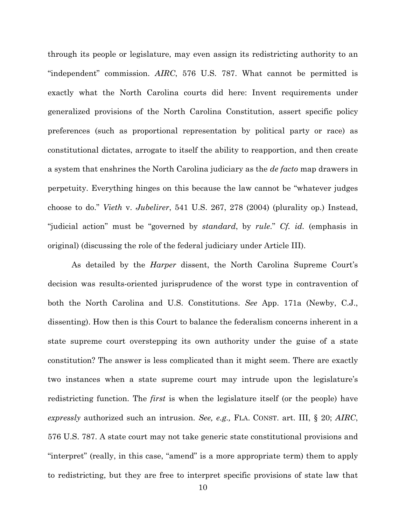through its people or legislature, may even assign its redistricting authority to an "independent" commission. *AIRC*, 576 U.S. 787. What cannot be permitted is exactly what the North Carolina courts did here: Invent requirements under generalized provisions of the North Carolina Constitution, assert specific policy preferences (such as proportional representation by political party or race) as constitutional dictates, arrogate to itself the ability to reapportion, and then create a system that enshrines the North Carolina judiciary as the *de facto* map drawers in perpetuity. Everything hinges on this because the law cannot be "whatever judges choose to do." *Vieth* v. *Jubelirer*, 541 U.S. 267, 278 (2004) (plurality op.) Instead, "judicial action" must be "governed by *standard*, by *rule*." *Cf. id.* (emphasis in original) (discussing the role of the federal judiciary under Article III).

As detailed by the *Harper* dissent, the North Carolina Supreme Court's decision was results-oriented jurisprudence of the worst type in contravention of both the North Carolina and U.S. Constitutions. *See* App. 171a (Newby, C.J., dissenting). How then is this Court to balance the federalism concerns inherent in a state supreme court overstepping its own authority under the guise of a state constitution? The answer is less complicated than it might seem. There are exactly two instances when a state supreme court may intrude upon the legislature's redistricting function. The *first* is when the legislature itself (or the people) have *expressly* authorized such an intrusion. *See, e.g.,* FLA. CONST. art. III, § 20; *AIRC*, 576 U.S. 787. A state court may not take generic state constitutional provisions and "interpret" (really, in this case, "amend" is a more appropriate term) them to apply to redistricting, but they are free to interpret specific provisions of state law that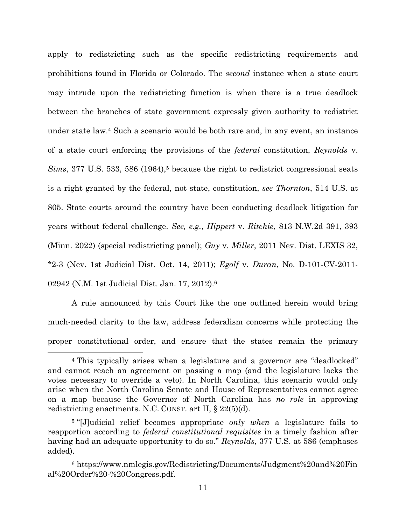apply to redistricting such as the specific redistricting requirements and prohibitions found in Florida or Colorado. The *second* instance when a state court may intrude upon the redistricting function is when there is a true deadlock between the branches of state government expressly given authority to redistrict under state law.4 Such a scenario would be both rare and, in any event, an instance of a state court enforcing the provisions of the *federal* constitution, *Reynolds* v. *Sims*, 377 U.S. 533, 586 (1964),<sup>5</sup> because the right to redistrict congressional seats is a right granted by the federal, not state, constitution, *see Thornton*, 514 U.S. at 805. State courts around the country have been conducting deadlock litigation for years without federal challenge. *See, e.g.*, *Hippert* v. *Ritchie*, 813 N.W.2d 391, 393 (Minn. 2022) (special redistricting panel); *Guy* v. *Miller*, 2011 Nev. Dist. LEXIS 32, \*2-3 (Nev. 1st Judicial Dist. Oct. 14, 2011); *Egolf* v. *Duran*, No. D-101-CV-2011- 02942 (N.M. 1st Judicial Dist. Jan. 17, 2012).6

A rule announced by this Court like the one outlined herein would bring much-needed clarity to the law, address federalism concerns while protecting the proper constitutional order, and ensure that the states remain the primary

 $\overline{a}$ 

<sup>4</sup> This typically arises when a legislature and a governor are "deadlocked" and cannot reach an agreement on passing a map (and the legislature lacks the votes necessary to override a veto). In North Carolina, this scenario would only arise when the North Carolina Senate and House of Representatives cannot agree on a map because the Governor of North Carolina has *no role* in approving redistricting enactments. N.C. CONST. art II, § 22(5)(d).

<sup>5 &</sup>quot;[J]udicial relief becomes appropriate *only when* a legislature fails to reapportion according to *federal constitutional requisites* in a timely fashion after having had an adequate opportunity to do so." *Reynolds*, 377 U.S. at 586 (emphases added).

<sup>6</sup> https://www.nmlegis.gov/Redistricting/Documents/Judgment%20and%20Fin al%20Order%20-%20Congress.pdf.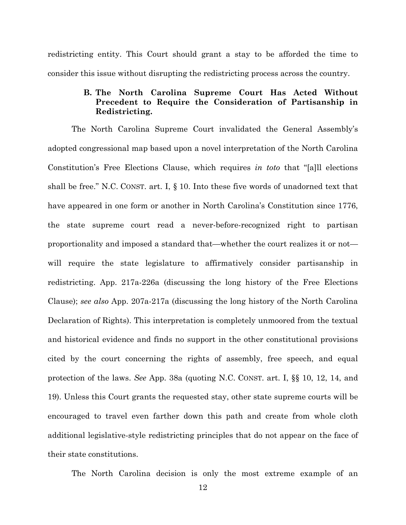redistricting entity. This Court should grant a stay to be afforded the time to consider this issue without disrupting the redistricting process across the country.

## **B. The North Carolina Supreme Court Has Acted Without Precedent to Require the Consideration of Partisanship in Redistricting.**

The North Carolina Supreme Court invalidated the General Assembly's adopted congressional map based upon a novel interpretation of the North Carolina Constitution's Free Elections Clause, which requires *in toto* that "[a]ll elections shall be free." N.C. CONST. art. I, § 10. Into these five words of unadorned text that have appeared in one form or another in North Carolina's Constitution since 1776, the state supreme court read a never-before-recognized right to partisan proportionality and imposed a standard that—whether the court realizes it or not will require the state legislature to affirmatively consider partisanship in redistricting. App. 217a-226a (discussing the long history of the Free Elections Clause); *see also* App. 207a-217a (discussing the long history of the North Carolina Declaration of Rights). This interpretation is completely unmoored from the textual and historical evidence and finds no support in the other constitutional provisions cited by the court concerning the rights of assembly, free speech, and equal protection of the laws. *See* App. 38a (quoting N.C. CONST. art. I, §§ 10, 12, 14, and 19). Unless this Court grants the requested stay, other state supreme courts will be encouraged to travel even farther down this path and create from whole cloth additional legislative-style redistricting principles that do not appear on the face of their state constitutions.

The North Carolina decision is only the most extreme example of an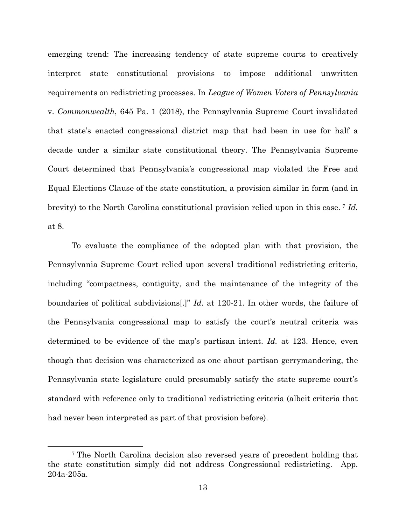emerging trend: The increasing tendency of state supreme courts to creatively interpret state constitutional provisions to impose additional unwritten requirements on redistricting processes. In *League of Women Voters of Pennsylvania*  v. *Commonwealth*, 645 Pa. 1 (2018), the Pennsylvania Supreme Court invalidated that state's enacted congressional district map that had been in use for half a decade under a similar state constitutional theory. The Pennsylvania Supreme Court determined that Pennsylvania's congressional map violated the Free and Equal Elections Clause of the state constitution, a provision similar in form (and in brevity) to the North Carolina constitutional provision relied upon in this case. 7 *Id.* at 8.

To evaluate the compliance of the adopted plan with that provision, the Pennsylvania Supreme Court relied upon several traditional redistricting criteria, including "compactness, contiguity, and the maintenance of the integrity of the boundaries of political subdivisions[.]" *Id.* at 120-21. In other words, the failure of the Pennsylvania congressional map to satisfy the court's neutral criteria was determined to be evidence of the map's partisan intent. *Id.* at 123. Hence, even though that decision was characterized as one about partisan gerrymandering, the Pennsylvania state legislature could presumably satisfy the state supreme court's standard with reference only to traditional redistricting criteria (albeit criteria that had never been interpreted as part of that provision before).

 $\overline{a}$ 

<sup>7</sup> The North Carolina decision also reversed years of precedent holding that the state constitution simply did not address Congressional redistricting. App. 204a-205a.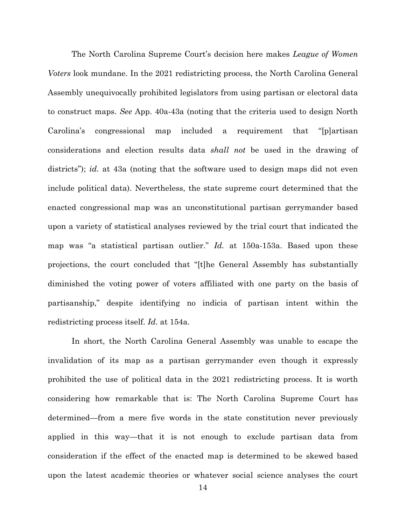The North Carolina Supreme Court's decision here makes *League of Women Voters* look mundane. In the 2021 redistricting process, the North Carolina General Assembly unequivocally prohibited legislators from using partisan or electoral data to construct maps. *See* App. 40a-43a (noting that the criteria used to design North Carolina's congressional map included a requirement that "[p]artisan considerations and election results data *shall not* be used in the drawing of districts"); *id.* at 43a (noting that the software used to design maps did not even include political data). Nevertheless, the state supreme court determined that the enacted congressional map was an unconstitutional partisan gerrymander based upon a variety of statistical analyses reviewed by the trial court that indicated the map was "a statistical partisan outlier." *Id.* at 150a-153a. Based upon these projections, the court concluded that "[t]he General Assembly has substantially diminished the voting power of voters affiliated with one party on the basis of partisanship," despite identifying no indicia of partisan intent within the redistricting process itself. *Id.* at 154a.

In short, the North Carolina General Assembly was unable to escape the invalidation of its map as a partisan gerrymander even though it expressly prohibited the use of political data in the 2021 redistricting process. It is worth considering how remarkable that is: The North Carolina Supreme Court has determined—from a mere five words in the state constitution never previously applied in this way—that it is not enough to exclude partisan data from consideration if the effect of the enacted map is determined to be skewed based upon the latest academic theories or whatever social science analyses the court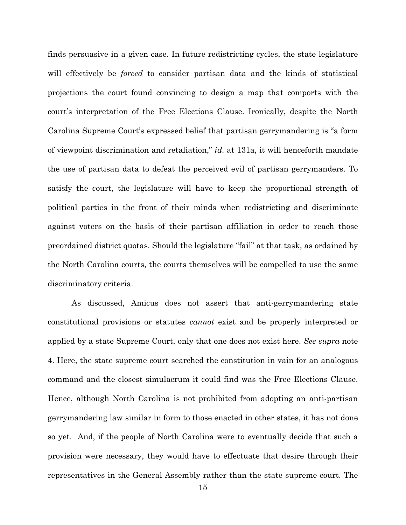finds persuasive in a given case. In future redistricting cycles, the state legislature will effectively be *forced* to consider partisan data and the kinds of statistical projections the court found convincing to design a map that comports with the court's interpretation of the Free Elections Clause. Ironically, despite the North Carolina Supreme Court's expressed belief that partisan gerrymandering is "a form of viewpoint discrimination and retaliation," *id.* at 131a, it will henceforth mandate the use of partisan data to defeat the perceived evil of partisan gerrymanders. To satisfy the court, the legislature will have to keep the proportional strength of political parties in the front of their minds when redistricting and discriminate against voters on the basis of their partisan affiliation in order to reach those preordained district quotas. Should the legislature "fail" at that task, as ordained by the North Carolina courts, the courts themselves will be compelled to use the same discriminatory criteria.

As discussed, Amicus does not assert that anti-gerrymandering state constitutional provisions or statutes *cannot* exist and be properly interpreted or applied by a state Supreme Court, only that one does not exist here. *See supra* note 4. Here, the state supreme court searched the constitution in vain for an analogous command and the closest simulacrum it could find was the Free Elections Clause. Hence, although North Carolina is not prohibited from adopting an anti-partisan gerrymandering law similar in form to those enacted in other states, it has not done so yet. And, if the people of North Carolina were to eventually decide that such a provision were necessary, they would have to effectuate that desire through their representatives in the General Assembly rather than the state supreme court. The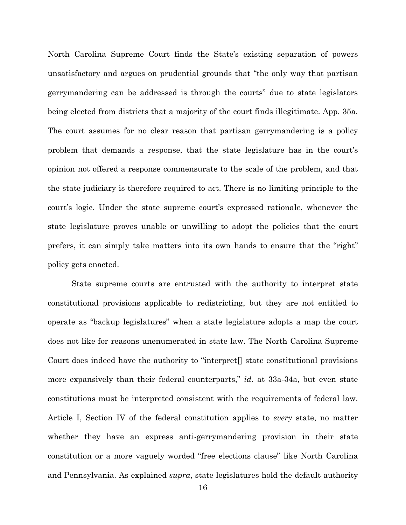North Carolina Supreme Court finds the State's existing separation of powers unsatisfactory and argues on prudential grounds that "the only way that partisan gerrymandering can be addressed is through the courts" due to state legislators being elected from districts that a majority of the court finds illegitimate. App. 35a. The court assumes for no clear reason that partisan gerrymandering is a policy problem that demands a response, that the state legislature has in the court's opinion not offered a response commensurate to the scale of the problem, and that the state judiciary is therefore required to act. There is no limiting principle to the court's logic. Under the state supreme court's expressed rationale, whenever the state legislature proves unable or unwilling to adopt the policies that the court prefers, it can simply take matters into its own hands to ensure that the "right" policy gets enacted.

State supreme courts are entrusted with the authority to interpret state constitutional provisions applicable to redistricting, but they are not entitled to operate as "backup legislatures" when a state legislature adopts a map the court does not like for reasons unenumerated in state law. The North Carolina Supreme Court does indeed have the authority to "interpret[] state constitutional provisions more expansively than their federal counterparts," *id.* at 33a-34a, but even state constitutions must be interpreted consistent with the requirements of federal law. Article I, Section IV of the federal constitution applies to *every* state, no matter whether they have an express anti-gerrymandering provision in their state constitution or a more vaguely worded "free elections clause" like North Carolina and Pennsylvania. As explained *supra*, state legislatures hold the default authority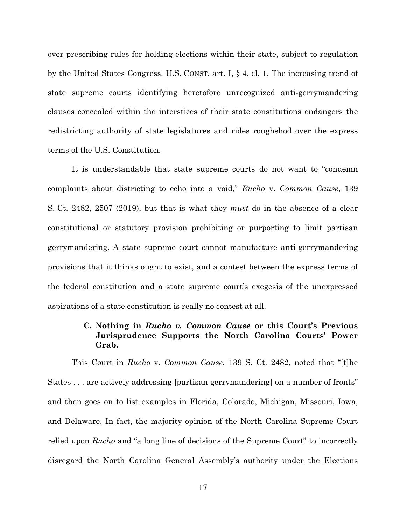over prescribing rules for holding elections within their state, subject to regulation by the United States Congress. U.S. CONST. art. I, § 4, cl. 1. The increasing trend of state supreme courts identifying heretofore unrecognized anti-gerrymandering clauses concealed within the interstices of their state constitutions endangers the redistricting authority of state legislatures and rides roughshod over the express terms of the U.S. Constitution.

It is understandable that state supreme courts do not want to "condemn complaints about districting to echo into a void," *Rucho* v. *Common Cause*, 139 S. Ct. 2482, 2507 (2019), but that is what they *must* do in the absence of a clear constitutional or statutory provision prohibiting or purporting to limit partisan gerrymandering. A state supreme court cannot manufacture anti-gerrymandering provisions that it thinks ought to exist, and a contest between the express terms of the federal constitution and a state supreme court's exegesis of the unexpressed aspirations of a state constitution is really no contest at all.

## **C. Nothing in** *Rucho v. Common Cause* **or this Court's Previous Jurisprudence Supports the North Carolina Courts' Power Grab.**

This Court in *Rucho* v. *Common Cause*, 139 S. Ct. 2482, noted that "[t]he States . . . are actively addressing [partisan gerrymandering] on a number of fronts" and then goes on to list examples in Florida, Colorado, Michigan, Missouri, Iowa, and Delaware. In fact, the majority opinion of the North Carolina Supreme Court relied upon *Rucho* and "a long line of decisions of the Supreme Court" to incorrectly disregard the North Carolina General Assembly's authority under the Elections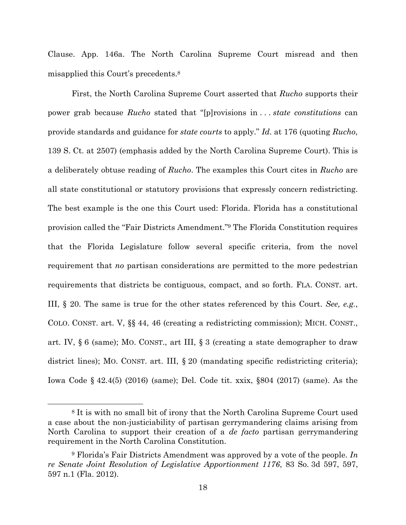Clause. App. 146a. The North Carolina Supreme Court misread and then misapplied this Court's precedents.8

First, the North Carolina Supreme Court asserted that *Rucho* supports their power grab because *Rucho* stated that "[p]rovisions in . . . *state constitutions* can provide standards and guidance for *state courts* to apply." *Id*. at 176 (quoting *Rucho*, 139 S. Ct. at 2507) (emphasis added by the North Carolina Supreme Court). This is a deliberately obtuse reading of *Rucho*. The examples this Court cites in *Rucho* are all state constitutional or statutory provisions that expressly concern redistricting. The best example is the one this Court used: Florida. Florida has a constitutional provision called the "Fair Districts Amendment."9 The Florida Constitution requires that the Florida Legislature follow several specific criteria, from the novel requirement that *no* partisan considerations are permitted to the more pedestrian requirements that districts be contiguous, compact, and so forth. FLA. CONST. art. III, § 20. The same is true for the other states referenced by this Court. *See, e.g.*, COLO. CONST. art. V, §§ 44, 46 (creating a redistricting commission); MICH. CONST., art. IV, § 6 (same); MO. CONST., art III, § 3 (creating a state demographer to draw district lines); MO. CONST. art. III, § 20 (mandating specific redistricting criteria); Iowa Code § 42.4(5) (2016) (same); Del. Code tit. xxix, §804 (2017) (same). As the

l

<sup>8</sup> It is with no small bit of irony that the North Carolina Supreme Court used a case about the non-justiciability of partisan gerrymandering claims arising from North Carolina to support their creation of a *de facto* partisan gerrymandering requirement in the North Carolina Constitution.

<sup>9</sup> Florida's Fair Districts Amendment was approved by a vote of the people. *In re Senate Joint Resolution of Legislative Apportionment 1176*, 83 So. 3d 597, 597, 597 n.1 (Fla. 2012).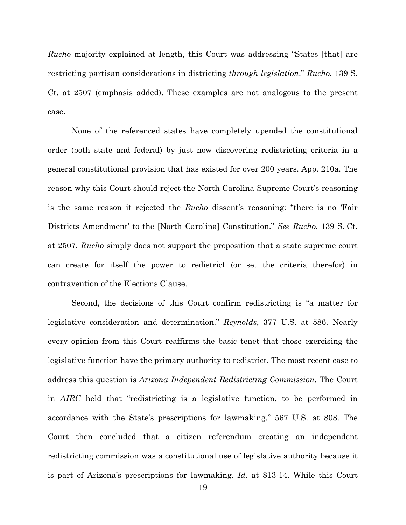*Rucho* majority explained at length, this Court was addressing "States [that] are restricting partisan considerations in districting *through legislation*." *Rucho*, 139 S. Ct. at 2507 (emphasis added). These examples are not analogous to the present case.

None of the referenced states have completely upended the constitutional order (both state and federal) by just now discovering redistricting criteria in a general constitutional provision that has existed for over 200 years. App. 210a. The reason why this Court should reject the North Carolina Supreme Court's reasoning is the same reason it rejected the *Rucho* dissent's reasoning: "there is no 'Fair Districts Amendment' to the [North Carolina] Constitution." *See Rucho*, 139 S. Ct. at 2507. *Rucho* simply does not support the proposition that a state supreme court can create for itself the power to redistrict (or set the criteria therefor) in contravention of the Elections Clause.

Second, the decisions of this Court confirm redistricting is "a matter for legislative consideration and determination." *Reynolds*, 377 U.S. at 586. Nearly every opinion from this Court reaffirms the basic tenet that those exercising the legislative function have the primary authority to redistrict. The most recent case to address this question is *Arizona Independent Redistricting Commission*. The Court in *AIRC* held that "redistricting is a legislative function, to be performed in accordance with the State's prescriptions for lawmaking." 567 U.S. at 808. The Court then concluded that a citizen referendum creating an independent redistricting commission was a constitutional use of legislative authority because it is part of Arizona's prescriptions for lawmaking. *Id*. at 813-14. While this Court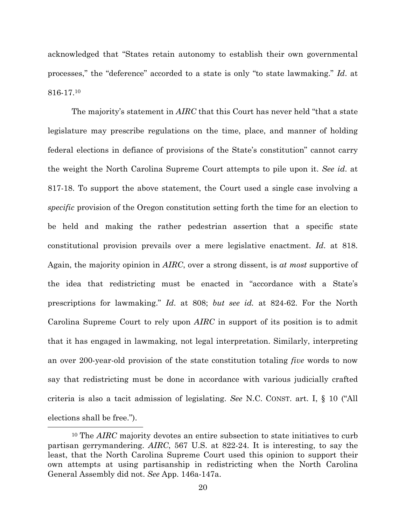acknowledged that "States retain autonomy to establish their own governmental processes," the "deference" accorded to a state is only "to state lawmaking." *Id*. at 816-17.10

The majority's statement in *AIRC* that this Court has never held "that a state legislature may prescribe regulations on the time, place, and manner of holding federal elections in defiance of provisions of the State's constitution" cannot carry the weight the North Carolina Supreme Court attempts to pile upon it. *See id*. at 817-18. To support the above statement, the Court used a single case involving a *specific* provision of the Oregon constitution setting forth the time for an election to be held and making the rather pedestrian assertion that a specific state constitutional provision prevails over a mere legislative enactment. *Id*. at 818. Again, the majority opinion in *AIRC*, over a strong dissent, is *at most* supportive of the idea that redistricting must be enacted in "accordance with a State's prescriptions for lawmaking." *Id*. at 808; *but see id.* at 824-62. For the North Carolina Supreme Court to rely upon *AIRC* in support of its position is to admit that it has engaged in lawmaking, not legal interpretation. Similarly, interpreting an over 200-year-old provision of the state constitution totaling *five* words to now say that redistricting must be done in accordance with various judicially crafted criteria is also a tacit admission of legislating. *See* N.C. CONST. art. I, § 10 ("All elections shall be free.").

l

<sup>10</sup> The *AIRC* majority devotes an entire subsection to state initiatives to curb partisan gerrymandering. *AIRC*, 567 U.S. at 822-24. It is interesting, to say the least, that the North Carolina Supreme Court used this opinion to support their own attempts at using partisanship in redistricting when the North Carolina General Assembly did not. *See* App. 146a-147a.